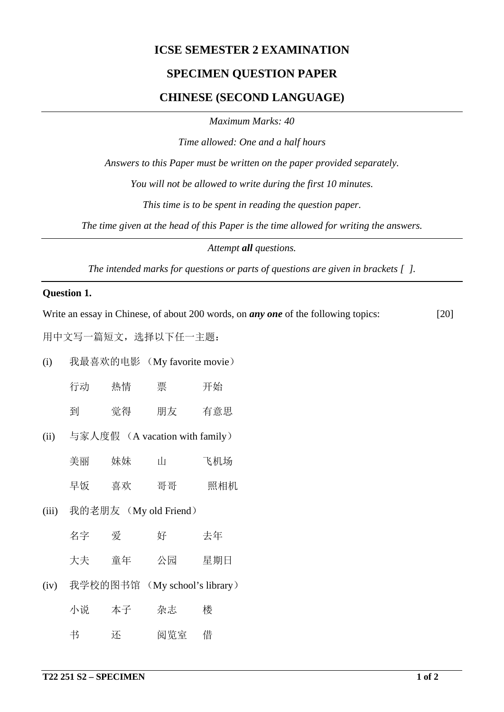# **ICSE SEMESTER 2 EXAMINATION**

# **SPECIMEN QUESTION PAPER**

### **CHINESE (SECOND LANGUAGE)**

*Maximum Marks: 40*

*Time allowed: One and a half hours*

*Answers to this Paper must be written on the paper provided separately.*

*You will not be allowed to write during the first 10 minutes.*

*This time is to be spent in reading the question paper.*

*The time given at the head of this Paper is the time allowed for writing the answers.*

*Attempt all questions.*

*The intended marks for questions or parts of questions are given in brackets [ ].*

### **Question 1.**

Write an essay in Chinese, of about 200 words, on *any one* of the following topics: [20]

用中文写一篇短文,选择以下任一主题:

|  | (i) | 我最喜欢的电影 | (My favorite movie) |
|--|-----|---------|---------------------|
|--|-----|---------|---------------------|

| 行动 | 热情 | 票  | 开始  |
|----|----|----|-----|
| 到  | 觉得 | 朋友 | 有意思 |

- (ii) 与家人度假  $(A$  vacation with family)
	- 美丽 妹妹 山 飞机场
	- 早饭 喜欢 哥哥 照相机
- (iii) 我的老朋友 (My old Friend)
	- 名字 爱 好 夫年
	- 大夫 童年 公园 星期日
- (iv) 我学校的图书馆 (My school's library)

| 小说 | 本子 | 杂志  | 楼 |
|----|----|-----|---|
| 书  | 还  | 阅览室 | 借 |